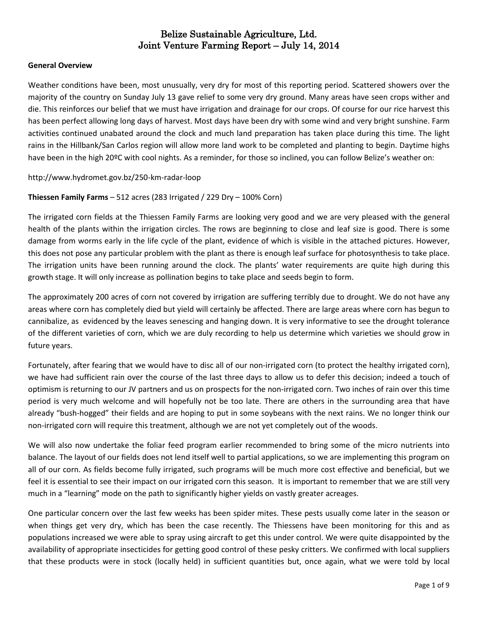#### **General Overview**

Weather conditions have been, most unusually, very dry for most of this reporting period. Scattered showers over the majority of the country on Sunday July 13 gave relief to some very dry ground. Many areas have seen crops wither and die. This reinforces our belief that we must have irrigation and drainage for our crops. Of course for our rice harvest this has been perfect allowing long days of harvest. Most days have been dry with some wind and very bright sunshine. Farm activities continued unabated around the clock and much land preparation has taken place during this time. The light rains in the Hillbank/San Carlos region will allow more land work to be completed and planting to begin. Daytime highs have been in the high 20ºC with cool nights. As a reminder, for those so inclined, you can follow Belize's weather on:

#### <http://www.hydromet.gov.bz/250-km-radar-loop>

#### **Thiessen Family Farms** – 512 acres (283 Irrigated / 229 Dry – 100% Corn)

The irrigated corn fields at the Thiessen Family Farms are looking very good and we are very pleased with the general health of the plants within the irrigation circles. The rows are beginning to close and leaf size is good. There is some damage from worms early in the life cycle of the plant, evidence of which is visible in the attached pictures. However, this does not pose any particular problem with the plant as there is enough leaf surface for photosynthesis to take place. The irrigation units have been running around the clock. The plants' water requirements are quite high during this growth stage. It will only increase as pollination begins to take place and seeds begin to form.

The approximately 200 acres of corn not covered by irrigation are suffering terribly due to drought. We do not have any areas where corn has completely died but yield will certainly be affected. There are large areas where corn has begun to cannibalize, as evidenced by the leaves senescing and hanging down. It is very informative to see the drought tolerance of the different varieties of corn, which we are duly recording to help us determine which varieties we should grow in future years.

Fortunately, after fearing that we would have to disc all of our non-irrigated corn (to protect the healthy irrigated corn), we have had sufficient rain over the course of the last three days to allow us to defer this decision; indeed a touch of optimism is returning to our JV partners and us on prospects for the non-irrigated corn. Two inches of rain over this time period is very much welcome and will hopefully not be too late. There are others in the surrounding area that have already "bush-hogged" their fields and are hoping to put in some soybeans with the next rains. We no longer think our non-irrigated corn will require this treatment, although we are not yet completely out of the woods.

We will also now undertake the foliar feed program earlier recommended to bring some of the micro nutrients into balance. The layout of our fields does not lend itself well to partial applications, so we are implementing this program on all of our corn. As fields become fully irrigated, such programs will be much more cost effective and beneficial, but we feel it is essential to see their impact on our irrigated corn this season. It is important to remember that we are still very much in a "learning" mode on the path to significantly higher yields on vastly greater acreages.

One particular concern over the last few weeks has been spider mites. These pests usually come later in the season or when things get very dry, which has been the case recently. The Thiessens have been monitoring for this and as populations increased we were able to spray using aircraft to get this under control. We were quite disappointed by the availability of appropriate insecticides for getting good control of these pesky critters. We confirmed with local suppliers that these products were in stock (locally held) in sufficient quantities but, once again, what we were told by local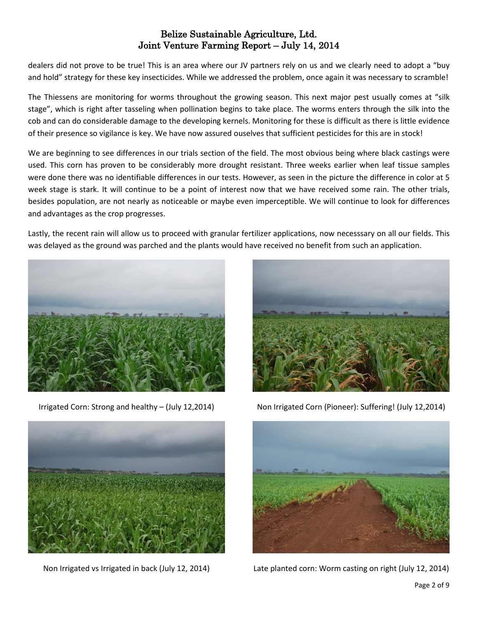dealers did not prove to be true! This is an area where our JV partners rely on us and we clearly need to adopt a "buy and hold" strategy for these key insecticides. While we addressed the problem, once again it was necessary to scramble!

The Thiessens are monitoring for worms throughout the growing season. This next major pest usually comes at "silk stage", which is right after tasseling when pollination begins to take place. The worms enters through the silk into the cob and can do considerable damage to the developing kernels. Monitoring for these is difficult as there is little evidence of their presence so vigilance is key. We have now assured ouselves that sufficient pesticides for this are in stock!

We are beginning to see differences in our trials section of the field. The most obvious being where black castings were used. This corn has proven to be considerably more drought resistant. Three weeks earlier when leaf tissue samples were done there was no identifiable differences in our tests. However, as seen in the picture the difference in color at 5 week stage is stark. It will continue to be a point of interest now that we have received some rain. The other trials, besides population, are not nearly as noticeable or maybe even imperceptible. We will continue to look for differences and advantages as the crop progresses.

Lastly, the recent rain will allow us to proceed with granular fertilizer applications, now necesssary on all our fields. This was delayed as the ground was parched and the plants would have received no benefit from such an application.



Irrigated Corn: Strong and healthy – (July 12,2014)



Non Irrigated vs Irrigated in back (July 12, 2014)



Non Irrigated Corn (Pioneer): Suffering! (July 12,2014)



Late planted corn: Worm casting on right (July 12, 2014)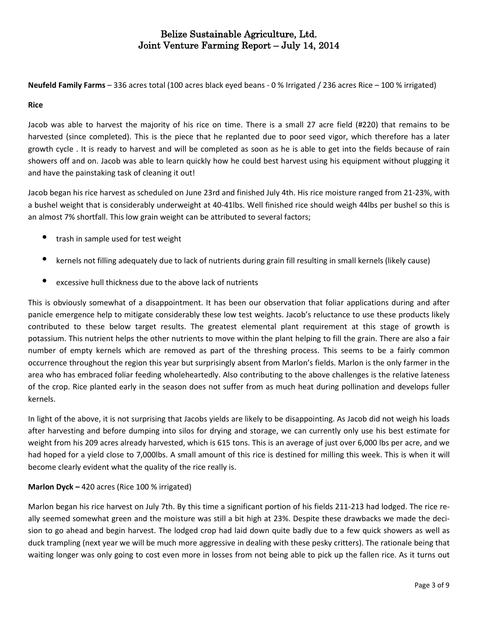**Neufeld Family Farms** – 336 acres total (100 acres black eyed beans - 0 % Irrigated / 236 acres Rice – 100 % irrigated)

#### **Rice**

Jacob was able to harvest the majority of his rice on time. There is a small 27 acre field (#220) that remains to be harvested (since completed). This is the piece that he replanted due to poor seed vigor, which therefore has a later growth cycle . It is ready to harvest and will be completed as soon as he is able to get into the fields because of rain showers off and on. Jacob was able to learn quickly how he could best harvest using his equipment without plugging it and have the painstaking task of cleaning it out!

Jacob began his rice harvest as scheduled on June 23rd and finished July 4th. His rice moisture ranged from 21-23%, with a bushel weight that is considerably underweight at 40-41lbs. Well finished rice should weigh 44lbs per bushel so this is an almost 7% shortfall. This low grain weight can be attributed to several factors;

- trash in sample used for test weight
- kernels not filling adequately due to lack of nutrients during grain fill resulting in small kernels (likely cause)
- excessive hull thickness due to the above lack of nutrients

This is obviously somewhat of a disappointment. It has been our observation that foliar applications during and after panicle emergence help to mitigate considerably these low test weights. Jacob's reluctance to use these products likely contributed to these below target results. The greatest elemental plant requirement at this stage of growth is potassium. This nutrient helps the other nutrients to move within the plant helping to fill the grain. There are also a fair number of empty kernels which are removed as part of the threshing process. This seems to be a fairly common occurrence throughout the region this year but surprisingly absent from Marlon's fields. Marlon is the only farmer in the area who has embraced foliar feeding wholeheartedly. Also contributing to the above challenges is the relative lateness of the crop. Rice planted early in the season does not suffer from as much heat during pollination and develops fuller kernels.

In light of the above, it is not surprising that Jacobs yields are likely to be disappointing. As Jacob did not weigh his loads after harvesting and before dumping into silos for drying and storage, we can currently only use his best estimate for weight from his 209 acres already harvested, which is 615 tons. This is an average of just over 6,000 lbs per acre, and we had hoped for a yield close to 7,000lbs. A small amount of this rice is destined for milling this week. This is when it will become clearly evident what the quality of the rice really is.

#### **Marlon Dyck –** 420 acres (Rice 100 % irrigated)

Marlon began his rice harvest on July 7th. By this time a significant portion of his fields 211-213 had lodged. The rice really seemed somewhat green and the moisture was still a bit high at 23%. Despite these drawbacks we made the decision to go ahead and begin harvest. The lodged crop had laid down quite badly due to a few quick showers as well as duck trampling (next year we will be much more aggressive in dealing with these pesky critters). The rationale being that waiting longer was only going to cost even more in losses from not being able to pick up the fallen rice. As it turns out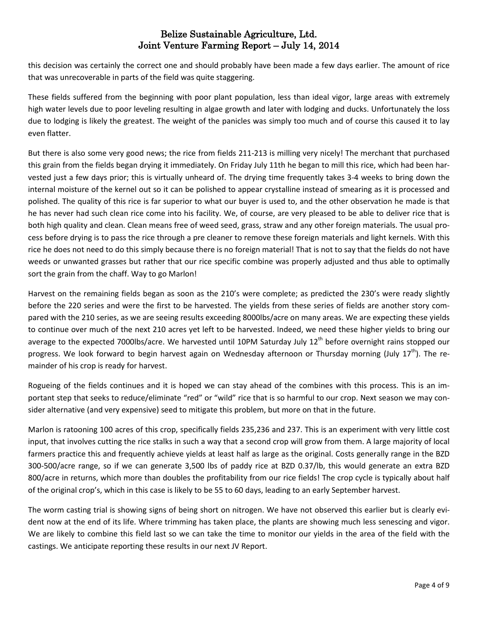this decision was certainly the correct one and should probably have been made a few days earlier. The amount of rice that was unrecoverable in parts of the field was quite staggering.

These fields suffered from the beginning with poor plant population, less than ideal vigor, large areas with extremely high water levels due to poor leveling resulting in algae growth and later with lodging and ducks. Unfortunately the loss due to lodging is likely the greatest. The weight of the panicles was simply too much and of course this caused it to lay even flatter.

But there is also some very good news; the rice from fields 211-213 is milling very nicely! The merchant that purchased this grain from the fields began drying it immediately. On Friday July 11th he began to mill this rice, which had been harvested just a few days prior; this is virtually unheard of. The drying time frequently takes 3-4 weeks to bring down the internal moisture of the kernel out so it can be polished to appear crystalline instead of smearing as it is processed and polished. The quality of this rice is far superior to what our buyer is used to, and the other observation he made is that he has never had such clean rice come into his facility. We, of course, are very pleased to be able to deliver rice that is both high quality and clean. Clean means free of weed seed, grass, straw and any other foreign materials. The usual process before drying is to pass the rice through a pre cleaner to remove these foreign materials and light kernels. With this rice he does not need to do this simply because there is no foreign material! That is not to say that the fields do not have weeds or unwanted grasses but rather that our rice specific combine was properly adjusted and thus able to optimally sort the grain from the chaff. Way to go Marlon!

Harvest on the remaining fields began as soon as the 210's were complete; as predicted the 230's were ready slightly before the 220 series and were the first to be harvested. The yields from these series of fields are another story compared with the 210 series, as we are seeing results exceeding 8000lbs/acre on many areas. We are expecting these yields to continue over much of the next 210 acres yet left to be harvested. Indeed, we need these higher yields to bring our average to the expected 7000lbs/acre. We harvested until 10PM Saturday July  $12^{th}$  before overnight rains stopped our progress. We look forward to begin harvest again on Wednesday afternoon or Thursday morning (July 17<sup>th</sup>). The remainder of his crop is ready for harvest.

Rogueing of the fields continues and it is hoped we can stay ahead of the combines with this process. This is an important step that seeks to reduce/eliminate "red" or "wild" rice that is so harmful to our crop. Next season we may consider alternative (and very expensive) seed to mitigate this problem, but more on that in the future.

Marlon is ratooning 100 acres of this crop, specifically fields 235,236 and 237. This is an experiment with very little cost input, that involves cutting the rice stalks in such a way that a second crop will grow from them. A large majority of local farmers practice this and frequently achieve yields at least half as large as the original. Costs generally range in the BZD 300-500/acre range, so if we can generate 3,500 lbs of paddy rice at BZD 0.37/lb, this would generate an extra BZD 800/acre in returns, which more than doubles the profitability from our rice fields! The crop cycle is typically about half of the original crop's, which in this case is likely to be 55 to 60 days, leading to an early September harvest.

The worm casting trial is showing signs of being short on nitrogen. We have not observed this earlier but is clearly evident now at the end of its life. Where trimming has taken place, the plants are showing much less senescing and vigor. We are likely to combine this field last so we can take the time to monitor our yields in the area of the field with the castings. We anticipate reporting these results in our next JV Report.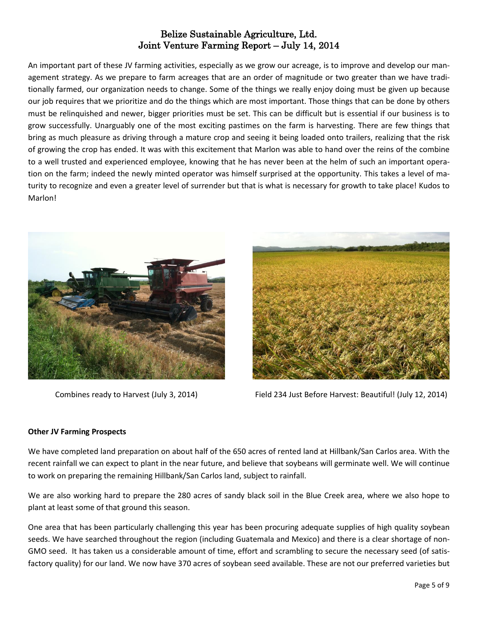An important part of these JV farming activities, especially as we grow our acreage, is to improve and develop our management strategy. As we prepare to farm acreages that are an order of magnitude or two greater than we have traditionally farmed, our organization needs to change. Some of the things we really enjoy doing must be given up because our job requires that we prioritize and do the things which are most important. Those things that can be done by others must be relinquished and newer, bigger priorities must be set. This can be difficult but is essential if our business is to grow successfully. Unarguably one of the most exciting pastimes on the farm is harvesting. There are few things that bring as much pleasure as driving through a mature crop and seeing it being loaded onto trailers, realizing that the risk of growing the crop has ended. It was with this excitement that Marlon was able to hand over the reins of the combine to a well trusted and experienced employee, knowing that he has never been at the helm of such an important operation on the farm; indeed the newly minted operator was himself surprised at the opportunity. This takes a level of maturity to recognize and even a greater level of surrender but that is what is necessary for growth to take place! Kudos to Marlon!





Combines ready to Harvest (July 3, 2014) Field 234 Just Before Harvest: Beautiful! (July 12, 2014)

#### **Other JV Farming Prospects**

We have completed land preparation on about half of the 650 acres of rented land at Hillbank/San Carlos area. With the recent rainfall we can expect to plant in the near future, and believe that soybeans will germinate well. We will continue to work on preparing the remaining Hillbank/San Carlos land, subject to rainfall.

We are also working hard to prepare the 280 acres of sandy black soil in the Blue Creek area, where we also hope to plant at least some of that ground this season.

One area that has been particularly challenging this year has been procuring adequate supplies of high quality soybean seeds. We have searched throughout the region (including Guatemala and Mexico) and there is a clear shortage of non-GMO seed. It has taken us a considerable amount of time, effort and scrambling to secure the necessary seed (of satisfactory quality) for our land. We now have 370 acres of soybean seed available. These are not our preferred varieties but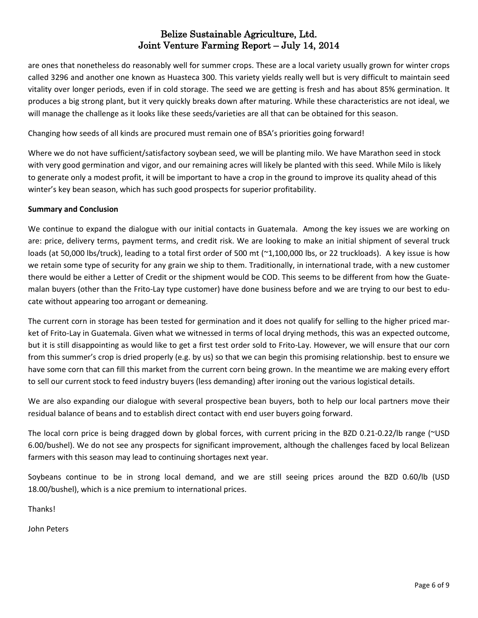are ones that nonetheless do reasonably well for summer crops. These are a local variety usually grown for winter crops called 3296 and another one known as Huasteca 300. This variety yields really well but is very difficult to maintain seed vitality over longer periods, even if in cold storage. The seed we are getting is fresh and has about 85% germination. It produces a big strong plant, but it very quickly breaks down after maturing. While these characteristics are not ideal, we will manage the challenge as it looks like these seeds/varieties are all that can be obtained for this season.

Changing how seeds of all kinds are procured must remain one of BSA's priorities going forward!

Where we do not have sufficient/satisfactory soybean seed, we will be planting milo. We have Marathon seed in stock with very good germination and vigor, and our remaining acres will likely be planted with this seed. While Milo is likely to generate only a modest profit, it will be important to have a crop in the ground to improve its quality ahead of this winter's key bean season, which has such good prospects for superior profitability.

#### **Summary and Conclusion**

We continue to expand the dialogue with our initial contacts in Guatemala. Among the key issues we are working on are: price, delivery terms, payment terms, and credit risk. We are looking to make an initial shipment of several truck loads (at 50,000 lbs/truck), leading to a total first order of 500 mt (~1,100,000 lbs, or 22 truckloads). A key issue is how we retain some type of security for any grain we ship to them. Traditionally, in international trade, with a new customer there would be either a Letter of Credit or the shipment would be COD. This seems to be different from how the Guatemalan buyers (other than the Frito-Lay type customer) have done business before and we are trying to our best to educate without appearing too arrogant or demeaning.

The current corn in storage has been tested for germination and it does not qualify for selling to the higher priced market of Frito-Lay in Guatemala. Given what we witnessed in terms of local drying methods, this was an expected outcome, but it is still disappointing as would like to get a first test order sold to Frito-Lay. However, we will ensure that our corn from this summer's crop is dried properly (e.g. by us) so that we can begin this promising relationship. best to ensure we have some corn that can fill this market from the current corn being grown. In the meantime we are making every effort to sell our current stock to feed industry buyers (less demanding) after ironing out the various logistical details.

We are also expanding our dialogue with several prospective bean buyers, both to help our local partners move their residual balance of beans and to establish direct contact with end user buyers going forward.

The local corn price is being dragged down by global forces, with current pricing in the BZD 0.21-0.22/lb range (~USD 6.00/bushel). We do not see any prospects for significant improvement, although the challenges faced by local Belizean farmers with this season may lead to continuing shortages next year.

Soybeans continue to be in strong local demand, and we are still seeing prices around the BZD 0.60/lb (USD 18.00/bushel), which is a nice premium to international prices.

Thanks!

John Peters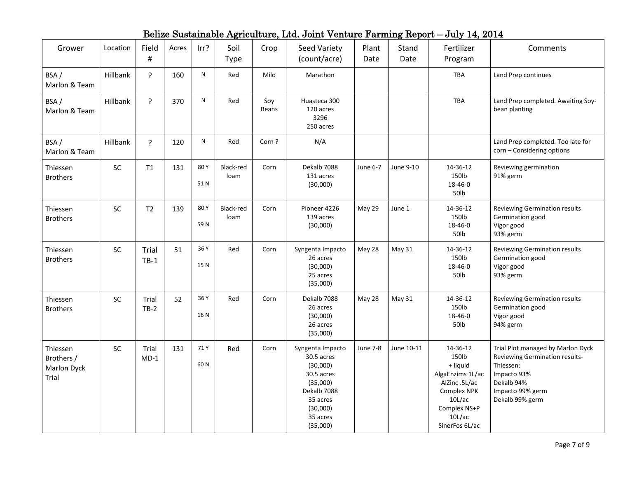| Grower                                         | Location | Field<br>$\#$   | Acres | Irr?        | Soil<br><b>Type</b> | Crop         | Seed Variety<br>(count/acre)                                                                                                        | Plant<br>Date | Stand<br>Date | Fertilizer<br>Program                                                                                                                   | Comments                                                                                                                                             |
|------------------------------------------------|----------|-----------------|-------|-------------|---------------------|--------------|-------------------------------------------------------------------------------------------------------------------------------------|---------------|---------------|-----------------------------------------------------------------------------------------------------------------------------------------|------------------------------------------------------------------------------------------------------------------------------------------------------|
| BSA/<br>Marlon & Team                          | Hillbank | ?               | 160   | ${\sf N}$   | Red                 | Milo         | Marathon                                                                                                                            |               |               | <b>TBA</b>                                                                                                                              | Land Prep continues                                                                                                                                  |
| BSA/<br>Marlon & Team                          | Hillbank | $\overline{?}$  | 370   | ${\sf N}$   | Red                 | Soy<br>Beans | Huasteca 300<br>120 acres<br>3296<br>250 acres                                                                                      |               |               | TBA                                                                                                                                     | Land Prep completed. Awaiting Soy-<br>bean planting                                                                                                  |
| BSA/<br>Marlon & Team                          | Hillbank | ?               | 120   | N           | Red                 | Corn?        | N/A                                                                                                                                 |               |               |                                                                                                                                         | Land Prep completed. Too late for<br>corn - Considering options                                                                                      |
| Thiessen<br><b>Brothers</b>                    | SC       | T1              | 131   | 80Y<br>51N  | Black-red<br>loam   | Corn         | Dekalb 7088<br>131 acres<br>(30,000)                                                                                                | June 6-7      | June 9-10     | 14-36-12<br>150lb<br>18-46-0<br>50lb                                                                                                    | Reviewing germination<br>91% germ                                                                                                                    |
| Thiessen<br><b>Brothers</b>                    | SC       | T <sub>2</sub>  | 139   | 80Y<br>59N  | Black-red<br>loam   | Corn         | Pioneer 4226<br>139 acres<br>(30,000)                                                                                               | May 29        | June 1        | 14-36-12<br>150lb<br>18-46-0<br>50lb                                                                                                    | Reviewing Germination results<br>Germination good<br>Vigor good<br>93% germ                                                                          |
| Thiessen<br><b>Brothers</b>                    | SC       | Trial<br>$TB-1$ | 51    | 36 Y<br>15N | Red                 | Corn         | Syngenta Impacto<br>26 acres<br>(30,000)<br>25 acres<br>(35,000)                                                                    | May 28        | <b>May 31</b> | 14-36-12<br>150lb<br>18-46-0<br>50lb                                                                                                    | Reviewing Germination results<br>Germination good<br>Vigor good<br>93% germ                                                                          |
| Thiessen<br><b>Brothers</b>                    | SC       | Trial<br>$TB-2$ | 52    | 36 Y<br>16N | Red                 | Corn         | Dekalb 7088<br>26 acres<br>(30,000)<br>26 acres<br>(35,000)                                                                         | May 28        | May 31        | 14-36-12<br>150lb<br>18-46-0<br>50lb                                                                                                    | Reviewing Germination results<br>Germination good<br>Vigor good<br>94% germ                                                                          |
| Thiessen<br>Brothers /<br>Marlon Dyck<br>Trial | SC       | Trial<br>$MD-1$ | 131   | 71 Y<br>60N | Red                 | Corn         | Syngenta Impacto<br>30.5 acres<br>(30,000)<br>30.5 acres<br>(35,000)<br>Dekalb 7088<br>35 acres<br>(30,000)<br>35 acres<br>(35,000) | June 7-8      | June 10-11    | 14-36-12<br>150lb<br>+ liquid<br>AlgaEnzims 1L/ac<br>AlZinc .5L/ac<br>Complex NPK<br>10L/ac<br>Complex NS+P<br>10L/ac<br>SinerFos 6L/ac | Trial Plot managed by Marlon Dyck<br>Reviewing Germination results-<br>Thiessen;<br>Impacto 93%<br>Dekalb 94%<br>Impacto 99% germ<br>Dekalb 99% germ |